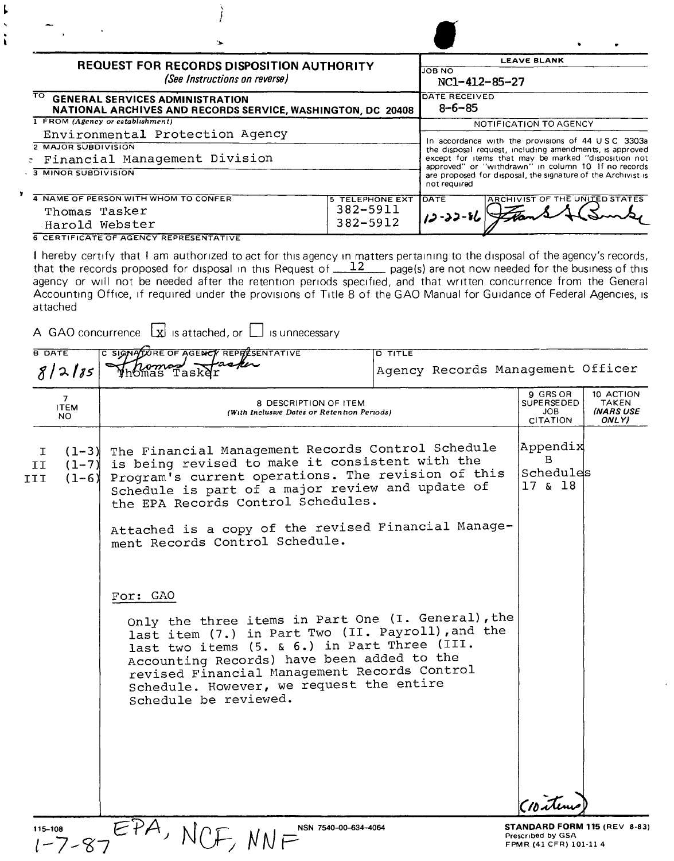|                                              |                                     | <b>REQUEST FOR RECORDS DISPOSITION AUTHORITY</b>                                                                                                                                                                                                     |                        |                |                                                                                                                                     | <b>LEAVE BLANK</b>                                      |                                                        |
|----------------------------------------------|-------------------------------------|------------------------------------------------------------------------------------------------------------------------------------------------------------------------------------------------------------------------------------------------------|------------------------|----------------|-------------------------------------------------------------------------------------------------------------------------------------|---------------------------------------------------------|--------------------------------------------------------|
|                                              |                                     | (See Instructions on reverse)                                                                                                                                                                                                                        |                        |                | <b>JOB NO</b><br>NC1-412-85-27                                                                                                      |                                                         |                                                        |
| ⊤⊙                                           |                                     | <b>GENERAL SERVICES ADMINISTRATION</b><br>NATIONAL ARCHIVES AND RECORDS SERVICE, WASHINGTON, DC 20408                                                                                                                                                |                        |                | DATE RECEIVED<br>$8 - 6 - 85$                                                                                                       |                                                         |                                                        |
|                                              |                                     | 1 FROM (Agency or establishment)                                                                                                                                                                                                                     |                        |                |                                                                                                                                     | NOTIFICATION TO AGENCY                                  |                                                        |
|                                              |                                     | Environmental Protection Agency                                                                                                                                                                                                                      |                        |                | In accordance with the provisions of 44 USC 3303a                                                                                   |                                                         |                                                        |
| <b>2 MAJOR SUBDIVISION</b>                   |                                     |                                                                                                                                                                                                                                                      |                        |                | the disposal request, including amendments, is approved                                                                             |                                                         |                                                        |
|                                              |                                     | : Financial Management Division                                                                                                                                                                                                                      |                        |                | except for items that may be marked "disposition not                                                                                |                                                         |                                                        |
| $\overline{\phantom{a}}$ 3 MINOR SUBDIVISION |                                     |                                                                                                                                                                                                                                                      |                        |                | approved" or "withdrawn" in column 10 If no records<br>are proposed for disposal, the signature of the Archivist is<br>not required |                                                         |                                                        |
| ×                                            |                                     | 4 NAME OF PERSON WITH WHOM TO CONFER                                                                                                                                                                                                                 | <b>5 TELEPHONE EXT</b> |                | <b>DATE</b>                                                                                                                         | <b>ARCHIVIST OF THE UNITED STATES</b>                   |                                                        |
|                                              |                                     | Thomas Tasker                                                                                                                                                                                                                                        | 382-5911               |                | $12 - 22 - 86$                                                                                                                      |                                                         |                                                        |
|                                              |                                     | Harold Webster                                                                                                                                                                                                                                       | 382-5912               |                |                                                                                                                                     |                                                         |                                                        |
|                                              |                                     | <b>6 CERTIFICATE OF AGENCY REPRESENTATIVE</b>                                                                                                                                                                                                        |                        |                |                                                                                                                                     |                                                         |                                                        |
| attached                                     |                                     | Accounting Office, if required under the provisions of Title 8 of the GAO Manual for Guidance of Federal Agencies, is<br>A GAO concurrence  x  is attached, or   is unnecessary                                                                      |                        |                |                                                                                                                                     |                                                         |                                                        |
| <b>B DATE</b>                                |                                     | C SIGNALURE OF AGENCY REPRESENTATIVE                                                                                                                                                                                                                 |                        | <b>D TITLE</b> |                                                                                                                                     |                                                         |                                                        |
| 8/2185                                       |                                     | Thomas Tasker                                                                                                                                                                                                                                        |                        |                | Agency Records Management Officer                                                                                                   |                                                         |                                                        |
| $\overline{7}$<br><b>ITEM</b><br>NO.         |                                     | 8 DESCRIPTION OF ITEM<br>(With Inclusive Dates or Retention Periods)                                                                                                                                                                                 |                        |                |                                                                                                                                     | 9 GRS OR<br><b>SUPERSEDED</b><br>JOB<br><b>CITATION</b> | 10 ACTION<br><b>TAKEN</b><br><b>INARS USE</b><br>ONLY) |
| I.<br>II<br>III                              | $(1 - 3)$<br>$(1 - 7)$<br>$(1 - 6)$ | The Financial Management Records Control Schedule<br>is being revised to make it consistent with the<br>Program's current operations. The revision of this<br>Schedule is part of a major review and update of<br>the EPA Records Control Schedules. |                        |                |                                                                                                                                     | Appendix<br>$\mathbf{B}$<br>Schedules<br>17 & 18        |                                                        |
|                                              |                                     | Attached is a copy of the revised Financial Manage-<br>ment Records Control Schedule.                                                                                                                                                                |                        |                |                                                                                                                                     |                                                         |                                                        |

For: GAO

Ļ  $\ddot{\phantom{0}}$ ř.

> Only the three items in Part One (I. General), the last item (7.) in Part Two (II. Payroll),and the last two items (5. & 6.) in Part Three (III. Accounting Records) have been added to the revised Financial Management Records Control Schedule. However, we request the entire Schedule be reviewed.

**EPA**, NCF, NNF<sup>N</sup> N<sub>O</sub> NAM 7540-00-634-4064 **Prescribed by GSA Prescribed by GSA Prescribed by GSA FPMR** (41 CFR) 101-11 4

 $\sim$ 

*(IIJ~~*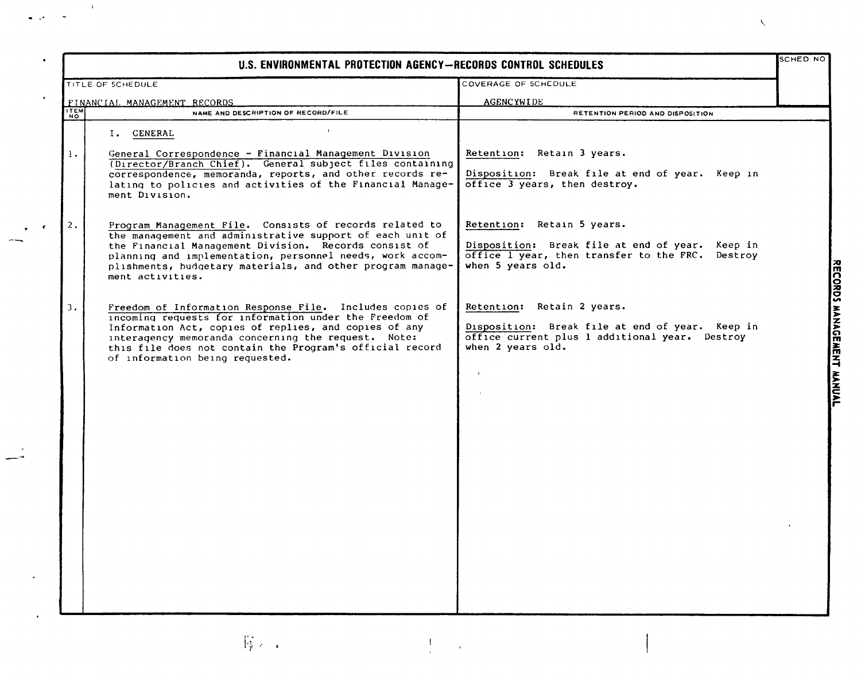|                              | U.S. ENVIRONMENTAL PROTECTION AGENCY--RECORDS CONTROL SCHEDULES                                                                                                                                                                                                                                                                   |                                                                                                                                                           | SCHED NO |
|------------------------------|-----------------------------------------------------------------------------------------------------------------------------------------------------------------------------------------------------------------------------------------------------------------------------------------------------------------------------------|-----------------------------------------------------------------------------------------------------------------------------------------------------------|----------|
|                              | TITLE OF SCHEDULE                                                                                                                                                                                                                                                                                                                 | COVERAGE OF SCHEDULE                                                                                                                                      |          |
|                              | FINANCIAL MANAGEMENT RECORDS                                                                                                                                                                                                                                                                                                      | <b>AGENCYWIDE</b>                                                                                                                                         |          |
| $\frac{17E\overline{M}}{NQ}$ | NAME AND DESCRIPTION OF RECORD/FILE                                                                                                                                                                                                                                                                                               | RETENTION PERIOD AND DISPOSITION                                                                                                                          |          |
| 1.                           | $\mathbf{A}$<br>I. GENERAL<br>General Correspondence - Financial Management Division<br>(Director/Branch Chief). General subject files containing<br>correspondence, memoranda, reports, and other records re-<br>lating to policies and activities of the Financial Manage-<br>ment Division.                                    | Retention: Retain 3 years.<br>Disposition: Break file at end of year. Keep in<br>office 3 years, then destroy.                                            |          |
| 2.                           | Program Management File. Consists of records related to<br>the management and administrative support of each unit of<br>the Financial Management Division. Records consist of<br>planning and implementation, personnel needs, work accom-<br>plishments, budgetary materials, and other program manage-<br>ment activities.      | Retention: Retain 5 years.<br>Disposition: Break file at end of year. Keep in<br>office I year, then transfer to the FRC.<br>Destroy<br>when 5 years old. |          |
| 3.                           | Freedom of Information Response File. Includes copies of<br>incoming requests for information under the Freedom of<br>Information Act, copies of replies, and copies of any<br>interagency memoranda concerning the request. Note:<br>this file does not contain the Program's official record<br>of information being requested. | Retention: Retain 2 years.<br>Disposition: Break file at end of year. Keep in<br>office current plus 1 additional year. Destroy<br>when 2 years old.      |          |
|                              | <b>将</b> 一                                                                                                                                                                                                                                                                                                                        |                                                                                                                                                           |          |

--

 $\bar{\chi}$ 

 $\tilde{\phantom{a}}$ 

 $\epsilon$ 

 $\sqrt{2}$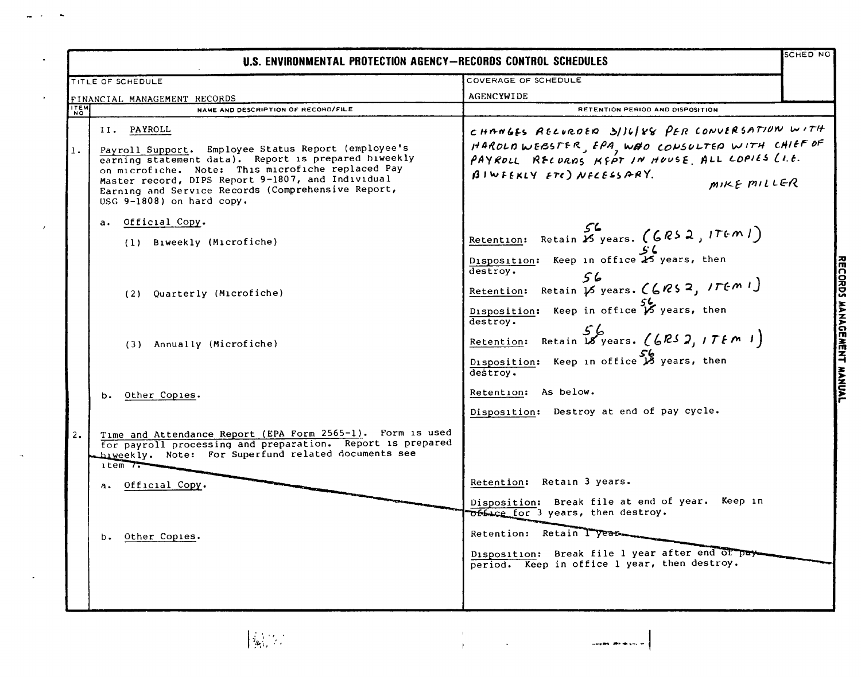|             | U.S. ENVIRONMENTAL PROTECTION AGENCY—RECORDS CONTROL SCHEDULES                                                                                                                                                                                                                                                          |                                                                                                                                                                                                | schED NC                  |
|-------------|-------------------------------------------------------------------------------------------------------------------------------------------------------------------------------------------------------------------------------------------------------------------------------------------------------------------------|------------------------------------------------------------------------------------------------------------------------------------------------------------------------------------------------|---------------------------|
|             | TITLE OF SCHEDULE                                                                                                                                                                                                                                                                                                       | COVERAGE OF SCHEDULE                                                                                                                                                                           |                           |
|             | FINANCIAL MANAGEMENT RECORDS                                                                                                                                                                                                                                                                                            | <b>AGENCYWIDE</b>                                                                                                                                                                              |                           |
| <b>ITEM</b> | NAME AND DESCRIPTION OF RECORD/FILE                                                                                                                                                                                                                                                                                     | RETENTION PERIOD AND DISPOSITION                                                                                                                                                               |                           |
| 1.          | II. PAYROLL<br>Payroll Support. Employee Status Report (employee's<br>earning statement data). Report is prepared biweekly<br>on microfiche. Note: This microfiche replaced Pay<br>Master record, DIPS Report 9-1807, and Individual<br>Earning and Service Records (Comprehensive Report,<br>USG 9-1808) on hard copy. | CHANGES RELURDED 3/16/88 PER CONVERSATION WITH<br>HAROLDWEBSTER, EPA, WEO CONSULTED WITH CHIEF OF<br>PAYROLL RECORNS KEPT IN HOUSE ALL COPIES (I.E.<br>BIWFEKLY ETC) NFLESSARY.<br>MIKE MILLER |                           |
|             | a. Official Copy.<br>(1) Biweekly (Microfiche)                                                                                                                                                                                                                                                                          | Retention: Retain 25 years. (GRS 2, ITEM 1)<br>Disposition: Keep in office 25 years, then                                                                                                      |                           |
|             | (2) Quarterly (Microfiche)                                                                                                                                                                                                                                                                                              | destroy.<br>56<br>Retention: Retain $\overline{16}$ years. (6RS 2, ITEM 1)<br>Disposition: Keep in office $\cancel{5}$ years, then<br>destroy.                                                 | RECORDS MANAGEMENT MANUAL |
|             | (3) Annually (Microfiche)                                                                                                                                                                                                                                                                                               | Retention: Retain 18 years. (6RS 2, ITEM 1)<br>Disposition: Keep in office B years, then<br>destroy.                                                                                           |                           |
|             | b. Other Copies.                                                                                                                                                                                                                                                                                                        | Retention: As below.<br>Disposition: Destroy at end of pay cycle.                                                                                                                              |                           |
| 2.          | Time and Attendance Report (EPA Form 2565-1). Form is used<br>for payroll processing and preparation. Report is prepared<br>hiweekly. Note: For Superfund related documents see<br>$1$ tem $7$                                                                                                                          | Retention: Retain 3 years.                                                                                                                                                                     |                           |
|             | a. Official Copy.                                                                                                                                                                                                                                                                                                       | Disposition: Break file at end of year. Keep in<br>Office for 3 years, then destroy.<br>Retention: Retain Tyear.                                                                               |                           |
|             | Other Copies.<br>b.                                                                                                                                                                                                                                                                                                     | Disposition: Break file 1 year after end of pay-<br>period. Keep in office 1 year, then destroy.                                                                                               |                           |

 $\tilde{\boldsymbol{\cdot} }$ 

 $\langle \cdot \rangle$ 

 $\mathcal{A}^{\mathcal{A}}$ 

 $\bar{\mathcal{A}}$ 

-<br>Health - African Street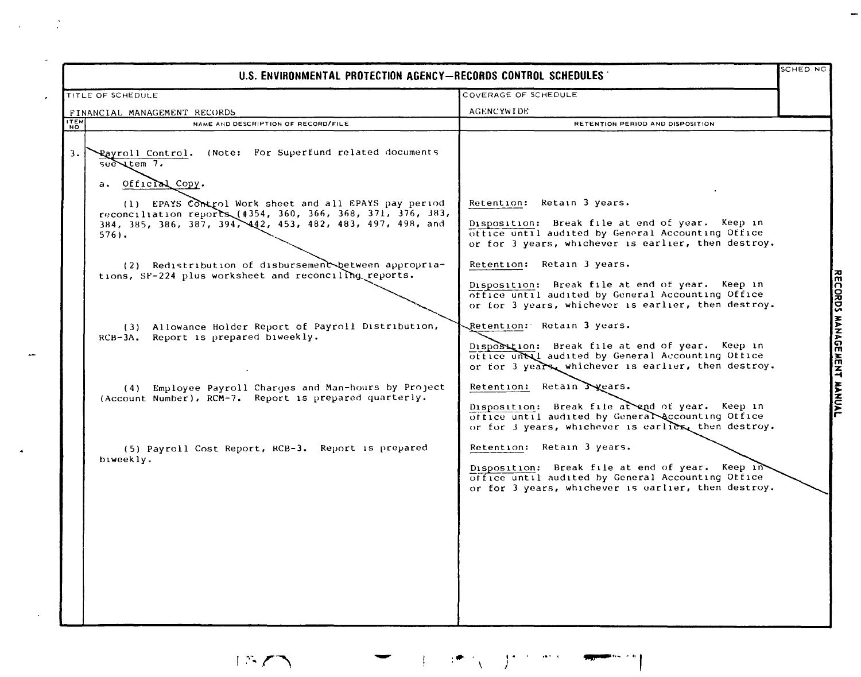|                                                                                                                                                                                                                                                                                                                                                                                                                                                                                                   | U.S. ENVIRONMENTAL PROTECTION AGENCY-RECORDS CONTROL SCHEDULES                                                                                                                                                                  |                                                                                                                                                                                                                                                                                                                                                                                                                                                                                                                                                                                                                                                                                                                                                                                                                                                                                                                                                                                    | SCHED NG                     |
|---------------------------------------------------------------------------------------------------------------------------------------------------------------------------------------------------------------------------------------------------------------------------------------------------------------------------------------------------------------------------------------------------------------------------------------------------------------------------------------------------|---------------------------------------------------------------------------------------------------------------------------------------------------------------------------------------------------------------------------------|------------------------------------------------------------------------------------------------------------------------------------------------------------------------------------------------------------------------------------------------------------------------------------------------------------------------------------------------------------------------------------------------------------------------------------------------------------------------------------------------------------------------------------------------------------------------------------------------------------------------------------------------------------------------------------------------------------------------------------------------------------------------------------------------------------------------------------------------------------------------------------------------------------------------------------------------------------------------------------|------------------------------|
| TITLE OF SCHEDULE                                                                                                                                                                                                                                                                                                                                                                                                                                                                                 |                                                                                                                                                                                                                                 | COVERAGE OF SCHEDULE                                                                                                                                                                                                                                                                                                                                                                                                                                                                                                                                                                                                                                                                                                                                                                                                                                                                                                                                                               |                              |
| FINANCIAL MANAGEMENT RECORDS                                                                                                                                                                                                                                                                                                                                                                                                                                                                      |                                                                                                                                                                                                                                 | <b>AGENCYWIDE</b>                                                                                                                                                                                                                                                                                                                                                                                                                                                                                                                                                                                                                                                                                                                                                                                                                                                                                                                                                                  |                              |
| NAME AND DESCRIPTION OF RECORD/FILE                                                                                                                                                                                                                                                                                                                                                                                                                                                               |                                                                                                                                                                                                                                 | RETENTION PERIOD AND DISPOSITION                                                                                                                                                                                                                                                                                                                                                                                                                                                                                                                                                                                                                                                                                                                                                                                                                                                                                                                                                   |                              |
| <b>TEM</b><br>Rayroll Control. (Note: For Superfund related documents<br>3.<br>$sec \times t$ cm $7.$<br>a. Official Copy.<br>reconciliation reports (#354, 360, 366, 368, 371, 376, 383,<br>384, 385, 386, 387, 394, 442, 453, 482, 483, 497, 498, and<br>$576$ ).<br>tions, SF-224 plus worksheet and reconciling reports.<br>RCB-3A. Report is prepared biweekly.<br>(Account Number), RCM-7. Report is prepared quarterly.<br>(5) Payroll Cost Report, RCB-3. Report is prepared<br>biweekly. | (1) EPAYS Control Work sheet and all EPAYS pay period<br>(2) Redistribution of disbursement between appropria-<br>(3) Allowance Holder Report of Payroll Distribution,<br>(4) Employee Payroll Charges and Man-hours by Project | Retention: Retain 3 years.<br>Disposition: Break file at end of year. Keep in<br>office until audited by General Accounting Office<br>or for 3 years, whichever is earlier, then destroy.<br>Retention: Retain 3 years.<br>Disposition: Break file at end of year. Keep in<br>office until audited by General Accounting Office<br>or for 3 years, whichever is earlier, then destroy.<br>Retention: Retain 3 years.<br>Disposition: Break file at end of year. Keep in<br>office unbail audited by General Accounting Office<br>or for 3 years, whichever is earlier, then destroy.<br>Retention: Retain $\sum$ years.<br>Disposition: Break file at end of year. Keep in<br>office until audited by General Accounting Office<br>or for 3 years, whichever is earlier then destroy.<br>Retention: Retain 3 years.<br>Disposition: Break file at end of year. Keep in<br>office until audited by General Accounting Office<br>or for 3 years, whichever is earlier, then destroy. | <b>MENT</b><br><b>HANUAL</b> |
|                                                                                                                                                                                                                                                                                                                                                                                                                                                                                                   |                                                                                                                                                                                                                                 |                                                                                                                                                                                                                                                                                                                                                                                                                                                                                                                                                                                                                                                                                                                                                                                                                                                                                                                                                                                    |                              |

 $\mathcal{L}_{\text{max}}$  and  $\mathcal{L}_{\text{max}}$ 

 $\mathcal{L}$ 

 $\mathcal{A}$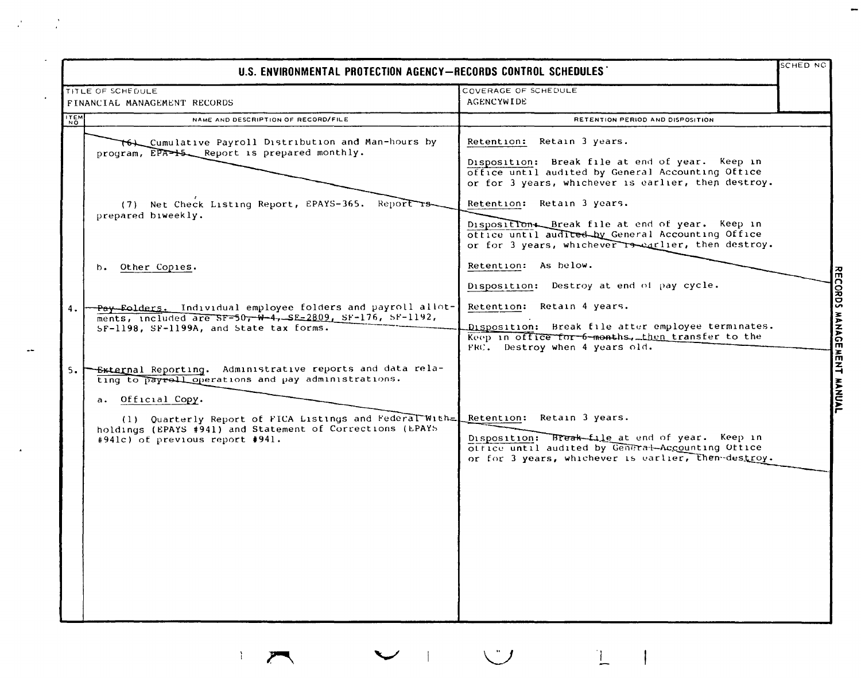|            | U.S. ENVIRONMENTAL PROTECTION AGENCY-RECORDS CONTROL SCHEDULES                                                                                                                                     |                                                                                                                                                                                           | SCHED NG |
|------------|----------------------------------------------------------------------------------------------------------------------------------------------------------------------------------------------------|-------------------------------------------------------------------------------------------------------------------------------------------------------------------------------------------|----------|
|            | TITLE OF SCHEDULE<br>FINANCIAL MANAGEMENT RECORDS                                                                                                                                                  | COVERAGE OF SCHEDULE<br><b>AGENCYWIDE</b>                                                                                                                                                 |          |
| <b>TEM</b> | NAME AND DESCRIPTION OF RECORD/FILE                                                                                                                                                                | RETENTION PERIOD AND DISPOSITION                                                                                                                                                          |          |
|            | T6L_Cumulative Payroll Distribution and Man-hours by<br>program, EPA-+5 Report is prepared monthly.                                                                                                | Retention: Retain 3 years.<br>Disposition: Break file at end of year. Keep in<br>office until audited by General Accounting Office<br>or for 3 years, whichever is earlier, then destroy. |          |
|            | (7) Net Check Listing Report, EPAYS-365. Report rs-<br>prepared biweekly.                                                                                                                          | Retention: Retain 3 years.<br>Disposition. Break file at end of year. Keep in<br>office until audited by General Accounting Office<br>or for 3 years, whichever reegflier, then destroy.  |          |
|            | Other Copies.<br>b.                                                                                                                                                                                | Retention: As below.<br>Disposition: Destroy at end of pay cycle.                                                                                                                         |          |
| 4.         | - Pay Folders. Individual employee folders and payroll allot-<br>ments, included are SF=50, W-4, SE-2809, SF-176, SF-1192,<br>SF-1198, SF-1199A, and State tax forms.                              | Retention: Retain 4 years.<br>Disposition: Break file after employee terminates.<br>Keep in office for 6-months, then transfer to the<br>FRC. Destroy when 4 years old.                   |          |
|            | 5. FEXTEED Reporting. Administrative reports and data rela-<br>ting to payroll operations and pay administrations.<br>a. Official Copy.<br>(1) Quarterly Report of FICA Listings and Federal With= | Retention: Retain 3 years.                                                                                                                                                                |          |
|            | holdings (EPAYS #941) and Statement of Corrections (EPAYS<br>#941c) of previous report #941.                                                                                                       | Disposition: Break-file at end of year. Keep in<br>otrice until audited by General-Accounting Office<br>or for 3 years, whichever is earlier, then-destroy.                               |          |
|            |                                                                                                                                                                                                    |                                                                                                                                                                                           |          |
|            |                                                                                                                                                                                                    |                                                                                                                                                                                           |          |
|            |                                                                                                                                                                                                    |                                                                                                                                                                                           |          |

 $\label{eq:2} \mathcal{L}(\mathcal{L}) = \mathcal{L}(\mathcal{L})$ 

 $\mathcal{X}^{\mathcal{A}}$  $\mathcal{A}$  $\mathcal{L}^{\ast}$  $\mathcal{L}$  $\overline{\phantom{a}}$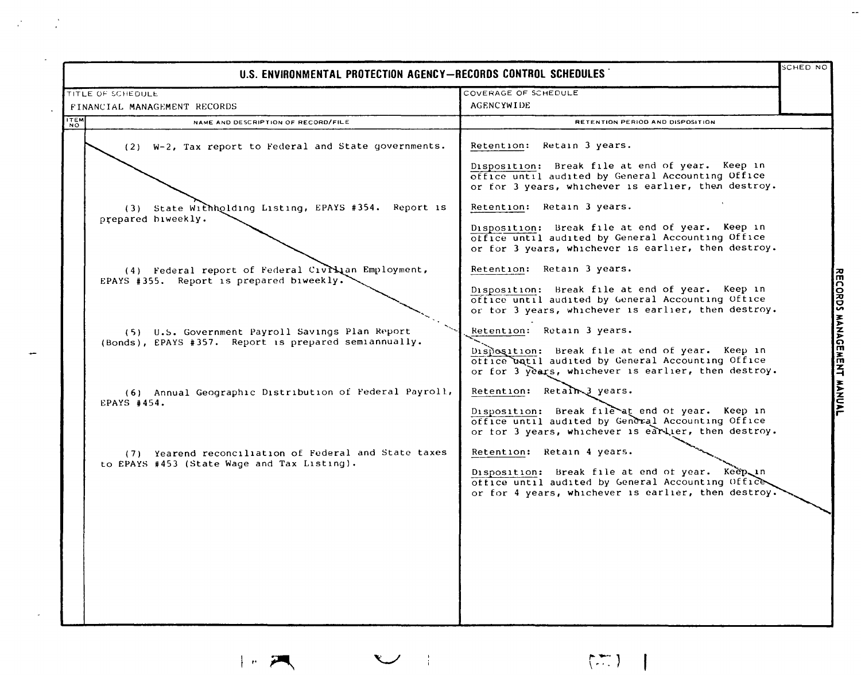|             | U.S. ENVIRONMENTAL PROTECTION AGENCY-RECORDS CONTROL SCHEDULES                                           |                                                                                                                                                                                           |             |  |  |  |
|-------------|----------------------------------------------------------------------------------------------------------|-------------------------------------------------------------------------------------------------------------------------------------------------------------------------------------------|-------------|--|--|--|
|             | TITLE OF SCHEDULE                                                                                        | COVERAGE OF SCHEDULE                                                                                                                                                                      |             |  |  |  |
|             | FINANCIAL MANAGEMENT RECORDS                                                                             | <b>AGENCYWIDE</b>                                                                                                                                                                         |             |  |  |  |
| <b>ITEM</b> | NAME AND DESCRIPTION OF RECORD/FILE                                                                      | RETENTION PERIOD AND DISPOSITION                                                                                                                                                          |             |  |  |  |
|             | (2) W-2, Tax report to Federal and State governments.                                                    | Retention: Retain 3 years.<br>Disposition: Break file at end of year. Keep in                                                                                                             |             |  |  |  |
|             |                                                                                                          | office until audited by General Accounting Office<br>or for 3 years, whichever is earlier, then destroy.                                                                                  |             |  |  |  |
|             | (3) State Withholding Listing, EPAYS #354. Report is<br>prepared biweekly.                               | Retention: Retain 3 years.                                                                                                                                                                |             |  |  |  |
|             |                                                                                                          | Disposition: Break file at end of year. Keep in<br>office until audited by General Accounting Office<br>or for 3 years, whichever is earlier, then destroy.                               |             |  |  |  |
|             | (4) Federal report of Federal Civillan Employment,<br>EPAYS #355. Report is prepared biweekly.           | Retention: Retain 3 years.                                                                                                                                                                |             |  |  |  |
|             |                                                                                                          | Disposition: Break file at end of year. Keep in<br>office until audited by General Accounting Office<br>or tor 3 years, whichever is earlier, then destroy.                               |             |  |  |  |
|             | (5) U.S. Government Payroll Savings Plan Report<br>(Bonds), EPAYS #357. Report is prepared semiannually. | Retention: Retain 3 years.<br>Disposition: Break file at end of year. Keep in<br>office watil audited by General Accounting Office<br>or for 3 years, whichever is earlier, then destroy. | <b>MANA</b> |  |  |  |
|             | (6) Annual Geographic Distribution of Federal Payroll,<br>EPAYS #454.                                    | Retention: Retain 3 years.<br>Disposition: Break file at end of year. Keep in<br>office until audited by General Accounting Office<br>or for 3 years, whichever is earlier, then destroy. |             |  |  |  |
|             | (7) Yearend reconciliation of Federal and State taxes<br>to EPAYS #453 (State Wage and Tax Listing).     | Retention: Retain 4 years.<br>Disposition: Break file at end of year. Keep in<br>office until audited by General Accounting Office<br>or for 4 years, whichever is earlier, then destroy. |             |  |  |  |
|             |                                                                                                          |                                                                                                                                                                                           |             |  |  |  |
|             |                                                                                                          |                                                                                                                                                                                           |             |  |  |  |
|             |                                                                                                          |                                                                                                                                                                                           |             |  |  |  |
|             |                                                                                                          |                                                                                                                                                                                           |             |  |  |  |

## $|n\rangle$

 $\label{eq:2.1} \mathcal{L}=\mathcal{L}^{\text{max}}_{\text{max}}\left(\mathcal{L}^{\text{max}}_{\text{max}}\right).$ 

 $\mathcal{L}$ 

 $\sim$ 

 $\begin{picture}(220,20) \put(0,0){\line(1,0){10}} \put(15,0){\line(1,0){10}} \put(15,0){\line(1,0){10}} \put(15,0){\line(1,0){10}} \put(15,0){\line(1,0){10}} \put(15,0){\line(1,0){10}} \put(15,0){\line(1,0){10}} \put(15,0){\line(1,0){10}} \put(15,0){\line(1,0){10}} \put(15,0){\line(1,0){10}} \put(15,0){\line(1,0){10}} \put(15,0){\line($ 

 $\mathbb{Z}^2$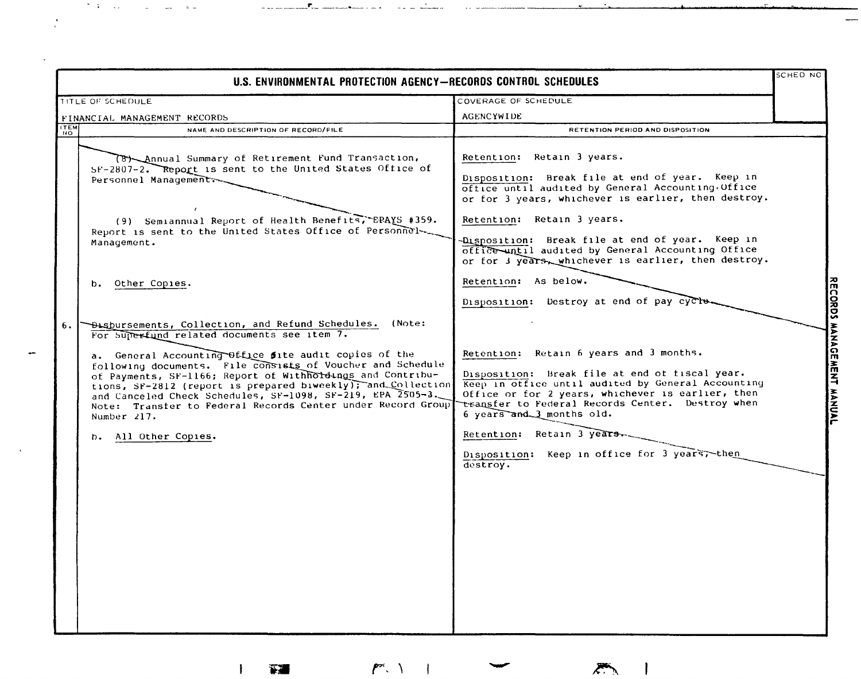|                 | U.S. ENVIRONMENTAL PROTECTION AGENCY-RECORDS CONTROL SCHEDULES                                                                                                                                                                                                                                                                                                                                                                                                                                                                                                                                                                                                                                                                                                                                                                                                      |                                                                                                                                                                                                                                                                                                                                                                                                                                                                                                                                                                                                                                                                                                                                                                                                                                                  | SCHED NO |
|-----------------|---------------------------------------------------------------------------------------------------------------------------------------------------------------------------------------------------------------------------------------------------------------------------------------------------------------------------------------------------------------------------------------------------------------------------------------------------------------------------------------------------------------------------------------------------------------------------------------------------------------------------------------------------------------------------------------------------------------------------------------------------------------------------------------------------------------------------------------------------------------------|--------------------------------------------------------------------------------------------------------------------------------------------------------------------------------------------------------------------------------------------------------------------------------------------------------------------------------------------------------------------------------------------------------------------------------------------------------------------------------------------------------------------------------------------------------------------------------------------------------------------------------------------------------------------------------------------------------------------------------------------------------------------------------------------------------------------------------------------------|----------|
|                 | TITLE OF SCHEDULE                                                                                                                                                                                                                                                                                                                                                                                                                                                                                                                                                                                                                                                                                                                                                                                                                                                   | COVERAGE OF SCHEDULE                                                                                                                                                                                                                                                                                                                                                                                                                                                                                                                                                                                                                                                                                                                                                                                                                             |          |
|                 |                                                                                                                                                                                                                                                                                                                                                                                                                                                                                                                                                                                                                                                                                                                                                                                                                                                                     | <b>AGENCYWIDE</b>                                                                                                                                                                                                                                                                                                                                                                                                                                                                                                                                                                                                                                                                                                                                                                                                                                |          |
| <b>ITEM</b>     | NAME AND DESCRIPTION OF RECORD/FILE                                                                                                                                                                                                                                                                                                                                                                                                                                                                                                                                                                                                                                                                                                                                                                                                                                 | RETENTION PERIOD AND DISPOSITION                                                                                                                                                                                                                                                                                                                                                                                                                                                                                                                                                                                                                                                                                                                                                                                                                 |          |
| <b>NO</b><br>6. | FINANCIAL MANAGEMENT RECORDS<br>(8) Annual Summary of Retirement Fund Transaction,<br>SF-2807-2. Report is sent to the United States Office of<br>Personnel Managements<br>(9) Semiannual Report of Health Benefits, EPAYS #359.<br>Report is sent to the United States Office of Personnel<br>Management.<br>b. Other Copies.<br>Disbursements, Collection, and Refund Schedules. (Note:<br>For Superfund related documents see item 7.<br>a. General Accounting Office fite audit copies of the<br>following documents. File consists of Voucher and Schedule<br>of Payments, SF-1166; Report of Withholdings and Contribu-<br>tions, SF-2812 (report is prepared biweekly); and Collection<br>and Canceled Check Schedules, SF-1098, SF-219, EPA 2505-3.<br>Note: Transfer to Federal Records Center under Record Group<br>Number $217.$<br>b. All Other Copies. | Retention: Retain 3 years.<br>Disposition: Break file at end of year. Keep in<br>office until audited by General Accounting Office<br>or for 3 years, whichever is earlier, then destroy.<br>Retention: Retain 3 years.<br>-Disposition: Break file at end of year. Keep in<br>office until audited by General Accounting Office<br>or for 3 years, whichever is earlier, then destroy.<br>Retention: As below.<br>Disposition: Destroy at end of pay cycle.<br>Retention: Retain 6 years and 3 months.<br>Disposition: Break file at end of fiscal year.<br>Keep in office until audited by General Accounting<br>Office or for 2 years, whichever is earlier, then<br>transfer to Federal Records Center. Destroy when<br>6 years and 3 months old.<br>Retention: Retain 3 years.<br>Disposition: Keep in office for 3 years, then<br>destroy. |          |
|                 |                                                                                                                                                                                                                                                                                                                                                                                                                                                                                                                                                                                                                                                                                                                                                                                                                                                                     |                                                                                                                                                                                                                                                                                                                                                                                                                                                                                                                                                                                                                                                                                                                                                                                                                                                  |          |

 $\mathbf{1}$ 

 $\sum_{i=1}^{n}$ 

 $\mathcal{O}(3)$  . The second contract  $\mathcal{O}(3)$ 

 $\omega$  and

**.P. ...** 

 $\sum_{i=1}^{n}$ 

 $\mathbf{I}$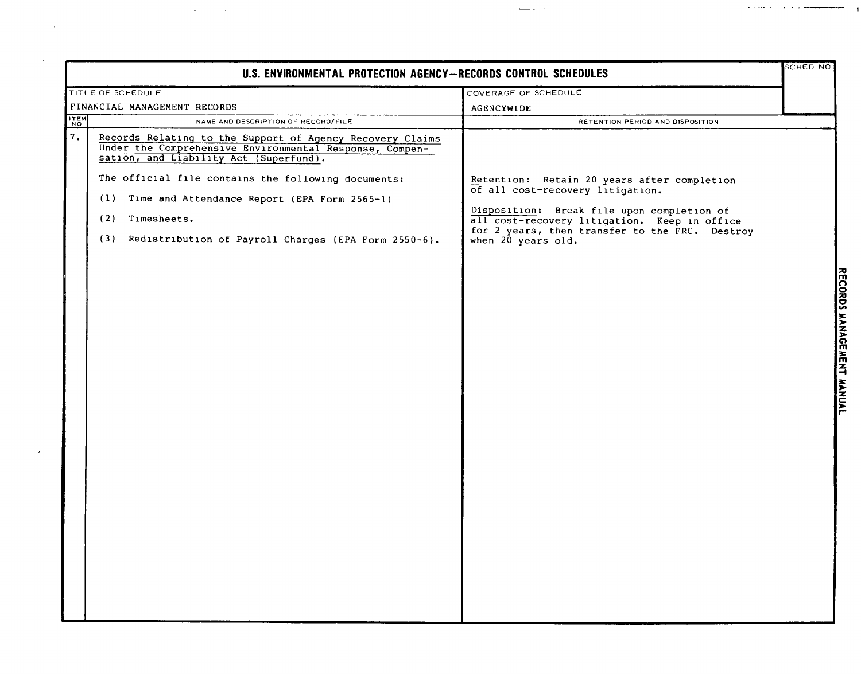|             | U.S. ENVIRONMENTAL PROTECTION AGENCY-RECORDS CONTROL SCHEDULES                                                                                                                                                                                                                                                                                              |                                                                                                                                                                                                                                                       |  |
|-------------|-------------------------------------------------------------------------------------------------------------------------------------------------------------------------------------------------------------------------------------------------------------------------------------------------------------------------------------------------------------|-------------------------------------------------------------------------------------------------------------------------------------------------------------------------------------------------------------------------------------------------------|--|
|             | TITLE OF SCHEDULE                                                                                                                                                                                                                                                                                                                                           | COVERAGE OF SCHEDULE                                                                                                                                                                                                                                  |  |
|             | FINANCIAL MANAGEMENT RECORDS                                                                                                                                                                                                                                                                                                                                | AGENCYWIDE                                                                                                                                                                                                                                            |  |
| <b>ITEM</b> | NAME AND DESCRIPTION OF RECORD/FILE                                                                                                                                                                                                                                                                                                                         | RETENTION PERIOD AND DISPOSITION                                                                                                                                                                                                                      |  |
| 7.          | Records Relating to the Support of Agency Recovery Claims<br>Under the Comprehensive Environmental Response, Compen-<br>sation, and Liability Act (Superfund).<br>The official file contains the following documents:<br>(1) Time and Attendance Report (EPA Form 2565-1)<br>Timesheets.<br>(2)<br>(3) Redistribution of Payroll Charges (EPA Form 2550-6). | Retention: Retain 20 years after completion<br>of all cost-recovery litigation.<br>Disposition: Break file upon completion of<br>all cost-recovery litigation. Keep in office<br>for 2 years, then transfer to the FRC. Destroy<br>when 20 years old. |  |

 $\mathcal{L}^{\text{max}}_{\text{max}}$  and  $\mathcal{L}^{\text{max}}_{\text{max}}$ 

 $\mathcal{A}^{\mathcal{A}}$ 

مستردا والوارد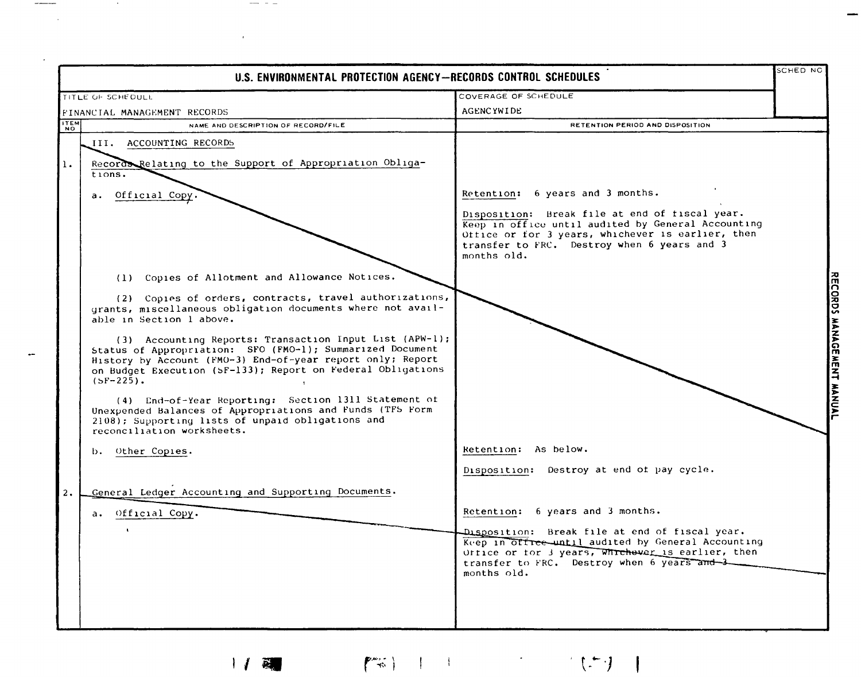|             | U.S. ENVIRONMENTAL PROTECTION AGENCY-RECORDS CONTROL SCHEDULES                                                                                                                                                                                                    |                                                                                                                                                                                                                         | SCHED NC       |
|-------------|-------------------------------------------------------------------------------------------------------------------------------------------------------------------------------------------------------------------------------------------------------------------|-------------------------------------------------------------------------------------------------------------------------------------------------------------------------------------------------------------------------|----------------|
|             | TITLE OF SCHEDULL                                                                                                                                                                                                                                                 | COVERAGE OF SCHEDULE                                                                                                                                                                                                    |                |
|             | FINANCIAL MANAGEMENT RECORDS                                                                                                                                                                                                                                      | <b>AGENCYWIDE</b>                                                                                                                                                                                                       |                |
| <b>ITEM</b> | NAME AND DESCRIPTION OF RECORD/FILE                                                                                                                                                                                                                               | RETENTION PERIOD AND DISPOSITION                                                                                                                                                                                        |                |
|             | III. ACCOUNTING RECORDS                                                                                                                                                                                                                                           |                                                                                                                                                                                                                         |                |
| 1.          | Record Relating to the Support of Appropriation Obliga-<br>tions.                                                                                                                                                                                                 |                                                                                                                                                                                                                         |                |
|             | Official Copy.<br>а.                                                                                                                                                                                                                                              | Retention: 6 years and 3 months.                                                                                                                                                                                        |                |
|             |                                                                                                                                                                                                                                                                   | Disposition: Break file at end of fiscal year.<br>Keep in office until audited by General Accounting<br>Office or for 3 years, whichever is earlier, then<br>transfer to FRC. Destroy when 6 years and 3<br>months old. |                |
|             | (1) Copies of Allotment and Allowance Notices.                                                                                                                                                                                                                    |                                                                                                                                                                                                                         |                |
|             | (2) Copies of orders, contracts, travel authorizations,<br>grants, miscellaneous obligation documents where not avail-<br>able in Section 1 above.                                                                                                                |                                                                                                                                                                                                                         |                |
|             | (3) Accounting Reports: Transaction Input List (APW-1);<br>Status of Appropriation: SFO (FMO-1); Summarized Document<br>History by Account (FMO-3) End-of-year report only; Report<br>on Budget Execution (SF-133); Report on Federal Obligations<br>$(SF-225)$ . |                                                                                                                                                                                                                         | アスアドロ<br>musik |
|             | (4) End-of-Year Reporting: Section 1311 Statement of<br>Unexpended Balances of Appropriations and Funds (TF5 Form<br>2108); Supporting lists of unpaid obligations and<br>reconciliation worksheets.                                                              |                                                                                                                                                                                                                         |                |
|             | b. Other Copies.                                                                                                                                                                                                                                                  | Retention: As below.                                                                                                                                                                                                    |                |
|             |                                                                                                                                                                                                                                                                   | Disposition: Destroy at end of pay cycle.                                                                                                                                                                               |                |
| 2.          | General Ledger Accounting and Supporting Documents.                                                                                                                                                                                                               |                                                                                                                                                                                                                         |                |
|             | Official Copy.<br>а.                                                                                                                                                                                                                                              | Retention: 6 years and 3 months.                                                                                                                                                                                        |                |
|             |                                                                                                                                                                                                                                                                   | Disposition: Break file at end of fiscal year.<br>Keep in office until audited by General Accounting<br>Office or for 3 years, Whichever is earlier, then<br>transfer to FRC. Destroy when 6 years and 3<br>months old. |                |
|             |                                                                                                                                                                                                                                                                   |                                                                                                                                                                                                                         |                |

 $\sim 10$ 

and the control of the

 $\hspace{0.1em} \hspace{0.1em} \hspace{0.1em} \hspace{0.1em} \hspace{0.1em} \hspace{0.1em} \hspace{0.1em} \hspace{0.1em} \hspace{0.1em} \hspace{0.1em} \hspace{0.1em} \hspace{0.1em} \hspace{0.1em} \hspace{0.1em} \hspace{0.1em} \hspace{0.1em} \hspace{0.1em} \hspace{0.1em} \hspace{0.1em} \hspace{0.1em} \hspace{0.1em} \hspace{0.1em} \hspace{0.1em} \hspace{0.1em} \hspace{$ 

 $\epsilon$ 

 $\left\{ \begin{array}{cc} \mathbb{P}^{\text{max}}_{\text{max}} & 1 & 1 & 1 & 1 & 1 \end{array} \right. \hspace{1cm} \left\{ \begin{array}{cc} \mathbb{P}^{\text{max}}_{\text{max}} & 1 & 1 & 1 \end{array} \right\} \hspace{1cm} \right\}$  $1/2$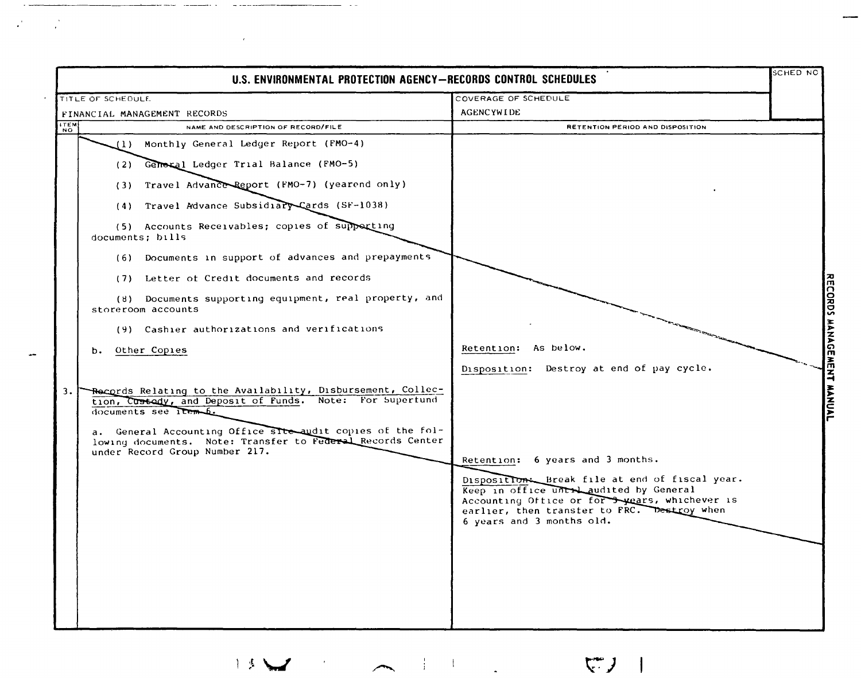|                 | U.S. ENVIRONMENTAL PROTECTION AGENCY-RECORDS CONTROL SCHEDULES                                                                                             |                                                                                                                                                                                                                        | <b>SCHED NC</b> |
|-----------------|------------------------------------------------------------------------------------------------------------------------------------------------------------|------------------------------------------------------------------------------------------------------------------------------------------------------------------------------------------------------------------------|-----------------|
|                 | TITLE OF SCHEDULE                                                                                                                                          | COVERAGE OF SCHEDULE                                                                                                                                                                                                   |                 |
|                 | FINANCIAL MANAGEMENT RECORDS                                                                                                                               | AGENCYWIDE                                                                                                                                                                                                             |                 |
| NO <sub>N</sub> | NAME AND DESCRIPTION OF RECORD/FILE                                                                                                                        | RETENTION PERIOD AND DISPOSITION                                                                                                                                                                                       |                 |
|                 | (1) Monthly General Ledger Report (FMO-4)                                                                                                                  |                                                                                                                                                                                                                        |                 |
|                 | (2) General Ledger Trial Balance (FMO-5)                                                                                                                   |                                                                                                                                                                                                                        |                 |
|                 | (3) Travel Advance Report (FMO-7) (yearend only)                                                                                                           |                                                                                                                                                                                                                        |                 |
|                 | (4) Travel Advance Subsidiary Cards (SF-1038)                                                                                                              |                                                                                                                                                                                                                        |                 |
|                 | (5) Accounts Receivables; copies of supporting<br>documents; bills                                                                                         |                                                                                                                                                                                                                        |                 |
|                 | (6) Documents in support of advances and prepayments                                                                                                       |                                                                                                                                                                                                                        |                 |
|                 | (7) Letter of Credit documents and records                                                                                                                 |                                                                                                                                                                                                                        |                 |
|                 | (8) Documents supporting equipment, real property, and<br>storeroom accounts                                                                               |                                                                                                                                                                                                                        |                 |
|                 | (9) Cashier authorizations and verifications                                                                                                               |                                                                                                                                                                                                                        |                 |
|                 | Other Copies<br>b.                                                                                                                                         | Retention: As below.                                                                                                                                                                                                   |                 |
|                 |                                                                                                                                                            | Disposition: Destroy at end of pay cycle.                                                                                                                                                                              |                 |
| 3.              | Records Relating to the Availability, Disbursement, Collec-<br>tion, Custady, and Deposit of Funds. Note: For Supertund<br>documents see Item 6.           |                                                                                                                                                                                                                        |                 |
|                 | a. General Accounting Office site audit copies of the fol-<br>lowing documents. Note: Transfer to Federal Records Center<br>under Record Group Number 217. |                                                                                                                                                                                                                        |                 |
|                 |                                                                                                                                                            | Retention: 6 years and 3 months.                                                                                                                                                                                       |                 |
|                 |                                                                                                                                                            | Disposition Break file at end of fiscal year.<br>Keep in office until audited by General<br>Accounting Office or for A years, whichever is<br>earlier, then transfer to FRC. Destroy when<br>6 years and 3 months old. |                 |
|                 |                                                                                                                                                            |                                                                                                                                                                                                                        |                 |
|                 |                                                                                                                                                            |                                                                                                                                                                                                                        |                 |
|                 |                                                                                                                                                            |                                                                                                                                                                                                                        |                 |
|                 |                                                                                                                                                            |                                                                                                                                                                                                                        |                 |
|                 |                                                                                                                                                            |                                                                                                                                                                                                                        |                 |

 $\label{eq:2.1} \frac{1}{2}\sum_{i=1}^n\frac{1}{2}\sum_{j=1}^n\frac{1}{2}\sum_{j=1}^n\frac{1}{2}\sum_{j=1}^n\frac{1}{2}\sum_{j=1}^n\frac{1}{2}\sum_{j=1}^n\frac{1}{2}\sum_{j=1}^n\frac{1}{2}\sum_{j=1}^n\frac{1}{2}\sum_{j=1}^n\frac{1}{2}\sum_{j=1}^n\frac{1}{2}\sum_{j=1}^n\frac{1}{2}\sum_{j=1}^n\frac{1}{2}\sum_{j=1}^n\frac{1}{2}\sum_{j=1}^n\$ 

 $\label{eq:2.1} \mathcal{L}(\mathcal{L}^{\text{max}}_{\text{max}}(\mathcal{L}^{\text{max}}_{\text{max}}(\mathcal{L}^{\text{max}}_{\text{max}}(\mathcal{L}^{\text{max}}_{\text{max}}(\mathcal{L}^{\text{max}}_{\text{max}}(\mathcal{L}^{\text{max}}_{\text{max}}(\mathcal{L}^{\text{max}}_{\text{max}}(\mathcal{L}^{\text{max}}_{\text{max}}(\mathcal{L}^{\text{max}}_{\text{max}}(\mathcal{L}^{\text{max}}_{\text{max}}(\mathcal{L}^{\text{max}}_{\text{max}}(\mathcal{L}^$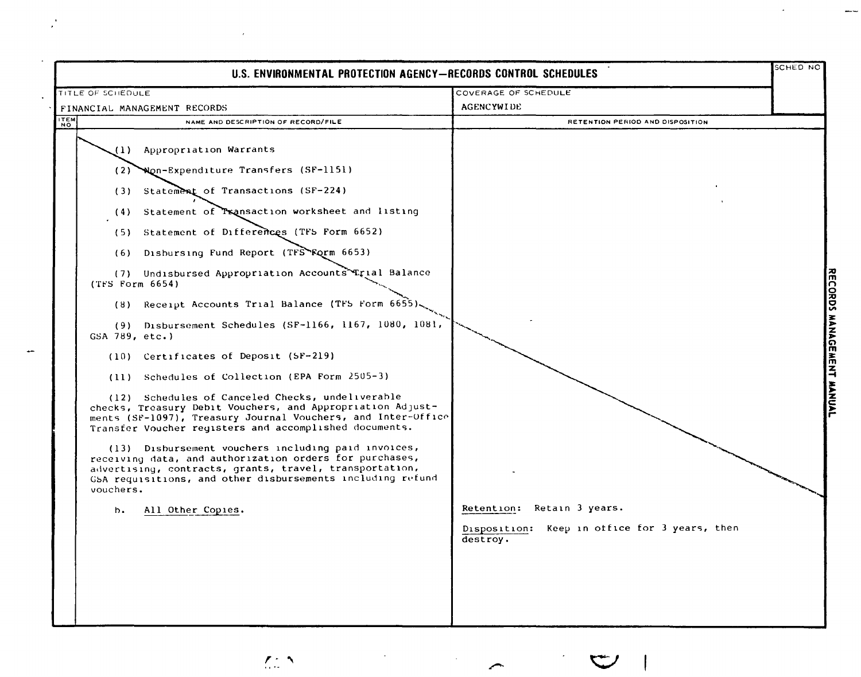| U.S. ENVIRONMENTAL PROTECTION AGENCY-RECORDS CONTROL SCHEDULES                                                                                                                                                                                                                                                                                                                                                                                                                                                                                                                                                                                                                                                                                                                                                                                                                                                                                                                                                                                                                                                            |                                                                                         | SCHED NO                     |
|---------------------------------------------------------------------------------------------------------------------------------------------------------------------------------------------------------------------------------------------------------------------------------------------------------------------------------------------------------------------------------------------------------------------------------------------------------------------------------------------------------------------------------------------------------------------------------------------------------------------------------------------------------------------------------------------------------------------------------------------------------------------------------------------------------------------------------------------------------------------------------------------------------------------------------------------------------------------------------------------------------------------------------------------------------------------------------------------------------------------------|-----------------------------------------------------------------------------------------|------------------------------|
| TITLE OF SCHEDULE                                                                                                                                                                                                                                                                                                                                                                                                                                                                                                                                                                                                                                                                                                                                                                                                                                                                                                                                                                                                                                                                                                         | COVERAGE OF SCHEDULE                                                                    |                              |
| FINANCIAL MANAGEMENT RECORDS                                                                                                                                                                                                                                                                                                                                                                                                                                                                                                                                                                                                                                                                                                                                                                                                                                                                                                                                                                                                                                                                                              | <b>AGENCYWIDE</b>                                                                       |                              |
| <b>TEM</b><br>NAME AND DESCRIPTION OF RECORD/FILE                                                                                                                                                                                                                                                                                                                                                                                                                                                                                                                                                                                                                                                                                                                                                                                                                                                                                                                                                                                                                                                                         | RETENTION PERIOD AND DISPOSITION                                                        |                              |
| Appropriation Warrants<br>(1)<br>Non-Expenditure Transfers (SF-1151)<br>(2)<br>Statement of Transactions (SF-224)<br>(3)<br>(4) Statement of Transaction worksheet and listing<br>Statement of Differences (TF5 Form 6652)<br>(5)<br>Disbursing Fund Report (TFS Form 6653)<br>(6)<br>(7) Undisbursed Appropriation Accounts Trial Balance<br>(TFS Form 6654)<br>(8) Receipt Accounts Trial Balance (TFS Form 6655)<br>(9) Disbursement Schedules (SF-1166, 1167, 1080, 1081,<br>GSA 789, etc.)<br>(10) Certificates of Deposit (SF-219)<br>(11) Schedules of Collection (EPA Form 2505-3)<br>(12) Schedules of Canceled Checks, undeliverable<br>checks, Treasury Debit Vouchers, and Appropriation Adjust-<br>ments (SF-1097), Treasury Journal Vouchers, and Inter-Office<br>Transfer Voucher registers and accomplished documents.<br>(13) Disbursement vouchers including paid invoices,<br>receiving data, and authorization orders for purchases,<br>advertising, contracts, grants, travel, transportation,<br>GSA requisitions, and other disbursements including refund<br>vouchers.<br>All Other Copies.<br>b. | Retention: Retain 3 years.<br>Disposition: Keep in office for 3 years, then<br>destroy. | <b>ORDS</b><br><b>TANNAL</b> |

 $\mathcal{I}$ 

 $\sim$ 

 $\hat{r}$ 

 $\mathcal{L}^{\mathcal{L}}_{\mu\nu}$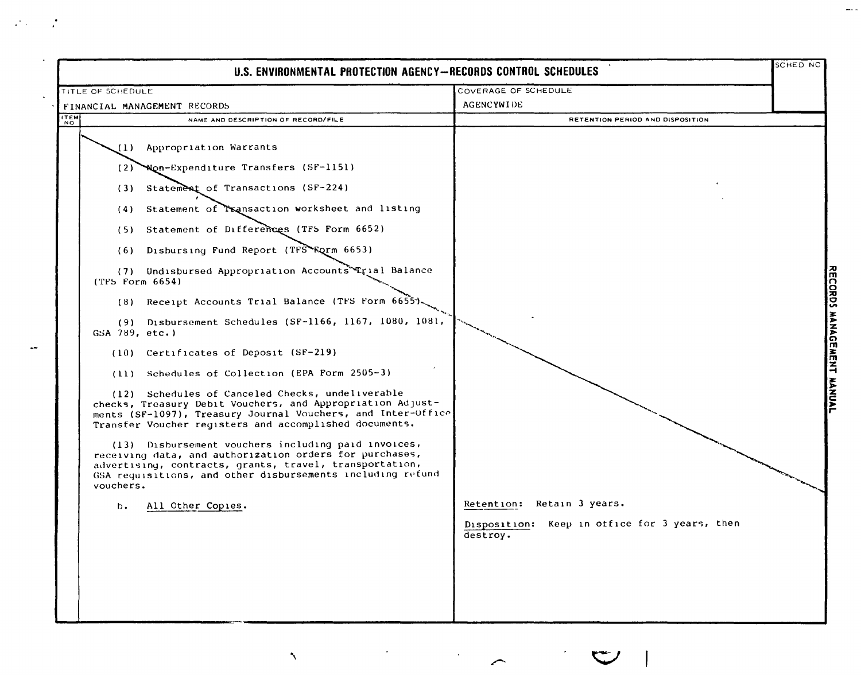|                   | U.S. ENVIRONMENTAL PROTECTION AGENCY-RECORDS CONTROL SCHEDULES                                                                                                                                                                                                                                                                                                                                                                                                                                                                                                                                 |                                                                                         | sched nc |
|-------------------|------------------------------------------------------------------------------------------------------------------------------------------------------------------------------------------------------------------------------------------------------------------------------------------------------------------------------------------------------------------------------------------------------------------------------------------------------------------------------------------------------------------------------------------------------------------------------------------------|-----------------------------------------------------------------------------------------|----------|
| TITLE OF SCHEDULE |                                                                                                                                                                                                                                                                                                                                                                                                                                                                                                                                                                                                | COVERAGE OF SCHEDULE                                                                    |          |
|                   | FINANCIAL MANAGEMENT RECORDS                                                                                                                                                                                                                                                                                                                                                                                                                                                                                                                                                                   | <b>AGENCYWIDE</b>                                                                       |          |
|                   | NAME AND DESCRIPTION OF RECORD/FILE                                                                                                                                                                                                                                                                                                                                                                                                                                                                                                                                                            | RETENTION PERIOD AND DISPOSITION                                                        |          |
| ITEM              | (1) Appropriation Warrants<br>(2) Won-Expenditure Transfers (SF-1151)<br>(3) Statement of Transactions (SF-224)<br>Statement of Transaction worksheet and listing<br>(4)<br>Statement of Differences (TFS Form 6652)<br>(5)<br>Disbursing Fund Report (TFS EQrm 6653)<br>(6)<br>(7) Undisbursed Appropriation Accounts Trial Balance<br>$(TFS$ Form $6654)$<br>(8) Receipt Accounts Trial Balance (TFS Form 6655)<br>Disbursement Schedules (SF-1166, 1167, 1080, 1081,<br>(9)<br>GSA 789, etc.)                                                                                               |                                                                                         |          |
|                   | (10) Certificates of Deposit (SF-219)<br>Schedules of Collection (EPA Form 2505-3)<br>(11)<br>(12) Schedules of Canceled Checks, undeliverable<br>checks, Treasury Debit Vouchers, and Appropriation Adjust-<br>ments (SF-1097), Treasury Journal Vouchers, and Inter-Office<br>Transfer Voucher registers and accomplished documents.<br>(13) Disbursement vouchers including paid invoices,<br>receiving data, and authorization orders for purchases,<br>advertising, contracts, grants, travel, transportation,<br>GSA requisitions, and other disbursements including refund<br>vouchers. |                                                                                         |          |
|                   | All Other Copies.<br>b.                                                                                                                                                                                                                                                                                                                                                                                                                                                                                                                                                                        | Retention: Retain 3 years.<br>Disposition: Keep in office for 3 years, then<br>destroy. |          |

DRDS MANAGEMAT MANUAI

 $\frac{1}{2}$ 

 $\Delta_{\rm{eff}}$ 

 $\mathcal{A}(\mathbf{r})=\mathcal{A}$ 

 $\label{eq:2} \frac{1}{\sqrt{2}}\sum_{i=1}^n\frac{1}{\sqrt{2}}\sum_{i=1}^n\frac{1}{\sqrt{2}}\sum_{i=1}^n\frac{1}{\sqrt{2}}\sum_{i=1}^n\frac{1}{\sqrt{2}}\sum_{i=1}^n\frac{1}{\sqrt{2}}\sum_{i=1}^n\frac{1}{\sqrt{2}}\sum_{i=1}^n\frac{1}{\sqrt{2}}\sum_{i=1}^n\frac{1}{\sqrt{2}}\sum_{i=1}^n\frac{1}{\sqrt{2}}\sum_{i=1}^n\frac{1}{\sqrt{2}}\sum_{i=1}^n\frac{1$ 

 $\mathfrak{S}$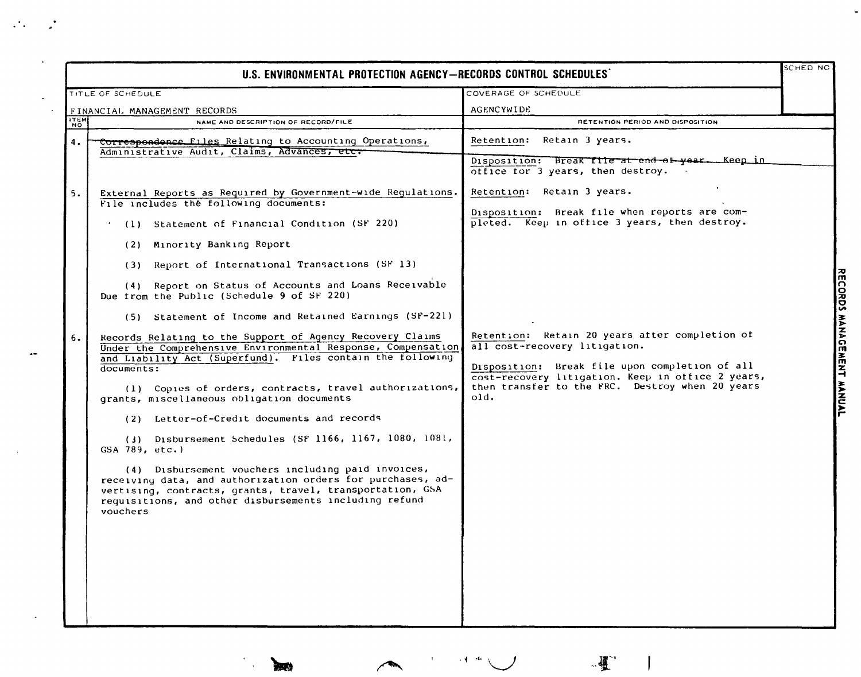| SCHED NO<br>U.S. ENVIRONMENTAL PROTECTION AGENCY-RECORDS CONTROL SCHEDULES |                                                                                                                                                                                                                                                      |                                                                                                                                                                |  |  |
|----------------------------------------------------------------------------|------------------------------------------------------------------------------------------------------------------------------------------------------------------------------------------------------------------------------------------------------|----------------------------------------------------------------------------------------------------------------------------------------------------------------|--|--|
|                                                                            | TITLE OF SCHEDULE                                                                                                                                                                                                                                    | COVERAGE OF SCHEDULE                                                                                                                                           |  |  |
| FINANCIAL MANAGEMENT RECORDS                                               |                                                                                                                                                                                                                                                      | <b>AGENCYWIDE</b>                                                                                                                                              |  |  |
| <b>ITEM</b>                                                                | NAME AND DESCRIPTION OF RECORD/FILE                                                                                                                                                                                                                  | RETENTION PERIOD AND DISPOSITION                                                                                                                               |  |  |
| 4.                                                                         | Correspondence Files Relating to Accounting Operations,<br>Administrative Audit, Claims, Advances, etc.                                                                                                                                              | Retention: Retain 3 years.                                                                                                                                     |  |  |
|                                                                            |                                                                                                                                                                                                                                                      | Disposition: Break file at end of year. Keep in<br>office for 3 years, then destroy. $\overline{\phantom{a}}$                                                  |  |  |
| 5.                                                                         | External Reports as Required by Government-wide Regulations.<br>File includes the following documents:                                                                                                                                               | Retention: Retain 3 years.                                                                                                                                     |  |  |
|                                                                            | (1) Statement of Financial Condition (SF 220)<br>$\sigma$ .                                                                                                                                                                                          | Disposition: Break file when reports are com-<br>pleted. Keep in office 3 years, then destroy.                                                                 |  |  |
|                                                                            | (2) Minority Banking Report                                                                                                                                                                                                                          |                                                                                                                                                                |  |  |
|                                                                            | (3) Report of International Transactions (SF 13)                                                                                                                                                                                                     |                                                                                                                                                                |  |  |
|                                                                            | (4) Report on Status of Accounts and Loans Receivable<br>Due from the Public (Schedule 9 of SF 220)                                                                                                                                                  |                                                                                                                                                                |  |  |
|                                                                            | (5) Statement of Income and Retained Earnings (SF-221)                                                                                                                                                                                               |                                                                                                                                                                |  |  |
| 6.                                                                         | Records Relating to the Support of Agency Recovery Claims<br>Under the Comprehensive Environmental Response, Compensation<br>and Liability Act (Superfund). Files contain the following                                                              | Retention: Retain 20 years after completion of<br>all cost-recovery litigation.                                                                                |  |  |
|                                                                            | documents:                                                                                                                                                                                                                                           | Disposition: Break file upon completion of all<br>cost-recovery litigation. Keep in office 2 years,<br>then transfer to the FRC. Destroy when 20 years<br>old. |  |  |
|                                                                            | (1) Copies of orders, contracts, travel authorizations,<br>grants, miscellaneous obligation documents                                                                                                                                                |                                                                                                                                                                |  |  |
|                                                                            | (2) Letter-of-Credit documents and records                                                                                                                                                                                                           |                                                                                                                                                                |  |  |
|                                                                            | $(3)$ Disbursement Schedules (SF 1166, 1167, 1080, 1081,<br>GSA 789, etc.)                                                                                                                                                                           |                                                                                                                                                                |  |  |
|                                                                            | (4) Disbursement vouchers including paid invoices,<br>receiving data, and authorization orders for purchases, ad-<br>vertising, contracts, grants, travel, transportation, GSA<br>requisitions, and other disbursements including refund<br>vouchers |                                                                                                                                                                |  |  |
|                                                                            |                                                                                                                                                                                                                                                      |                                                                                                                                                                |  |  |
|                                                                            |                                                                                                                                                                                                                                                      |                                                                                                                                                                |  |  |
|                                                                            |                                                                                                                                                                                                                                                      |                                                                                                                                                                |  |  |
|                                                                            |                                                                                                                                                                                                                                                      |                                                                                                                                                                |  |  |

 $\mathcal{L}_{\mathcal{A}}$ 

 $\mathcal{L}^{\text{max}}$ 

 $\ddot{\phantom{0}}$ 

 $\overline{\phantom{a}}$ 

RMCORDS WAZAGMWENT WANNOAD

 $\ddot{\phantom{a}}$ 

 $\mathbf{r}_\parallel$ 

**BAR** 

 $\lambda$ 

 $\sim 4-46$ 

 $\sqrt{2}$ 

 $\mathsf{l}$